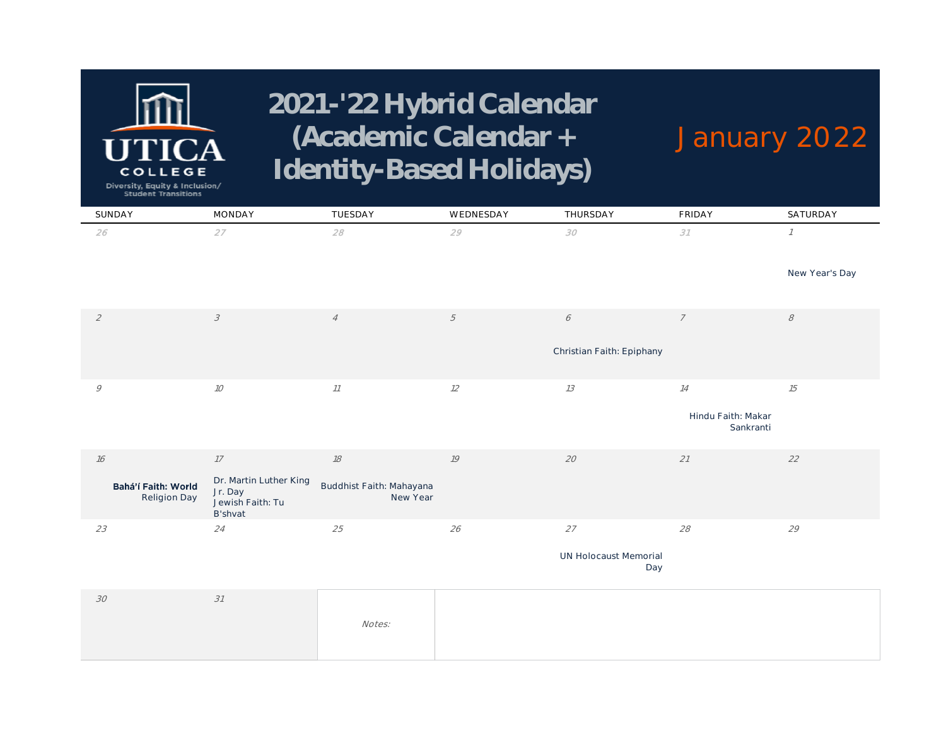# EGE COLL

# **2021-'22 Hybrid Calendar (Academic Calendar + Identity-Based Holidays)**

# **January 2022**

Diversity, Equity & Inclusion/<br>Student Transitions

| SUNDAY                              | MONDAY                                                           | TUESDAY                              | WEDNESDAY  | THURSDAY                     | <b>FRIDAY</b>                   | SATURDAY       |
|-------------------------------------|------------------------------------------------------------------|--------------------------------------|------------|------------------------------|---------------------------------|----------------|
| 26                                  | 27                                                               | 28                                   | 29         | $\mathcal{S}O$               | 31                              | $\mathcal{I}$  |
|                                     |                                                                  |                                      |            |                              |                                 | New Year's Day |
| $\mathcal{L}$                       | $\mathcal{S}% _{CS}^{(n)}(\theta)$                               | $\overline{4}$                       | $\sqrt{2}$ | $\acute{\sigma}$             | $\overline{7}$                  | $\mathcal S$   |
|                                     |                                                                  |                                      |            | Christian Faith: Epiphany    |                                 |                |
| 9                                   | $10$                                                             | $\it 11$                             | 12         | $13$                         | $14\,$                          | $15\,$         |
|                                     |                                                                  |                                      |            |                              | Hindu Faith: Makar<br>Sankranti |                |
| $16$                                | $17\,$                                                           | $18$                                 | 19         | $20\,$                       | $21\,$                          | $22\,$         |
| Bahá'í Faith: World<br>Religion Day | Dr. Martin Luther King<br>Jr. Day<br>Jewish Faith: Tu<br>B'shvat | Buddhist Faith: Mahayana<br>New Year |            |                              |                                 |                |
| 23                                  | 24                                                               | 25                                   | 26         | $27\,$                       | 28                              | 29             |
|                                     |                                                                  |                                      |            | UN Holocaust Memorial<br>Day |                                 |                |
| $30\,$                              | 31                                                               |                                      |            |                              |                                 |                |

|  | Notes: |  |
|--|--------|--|
|--|--------|--|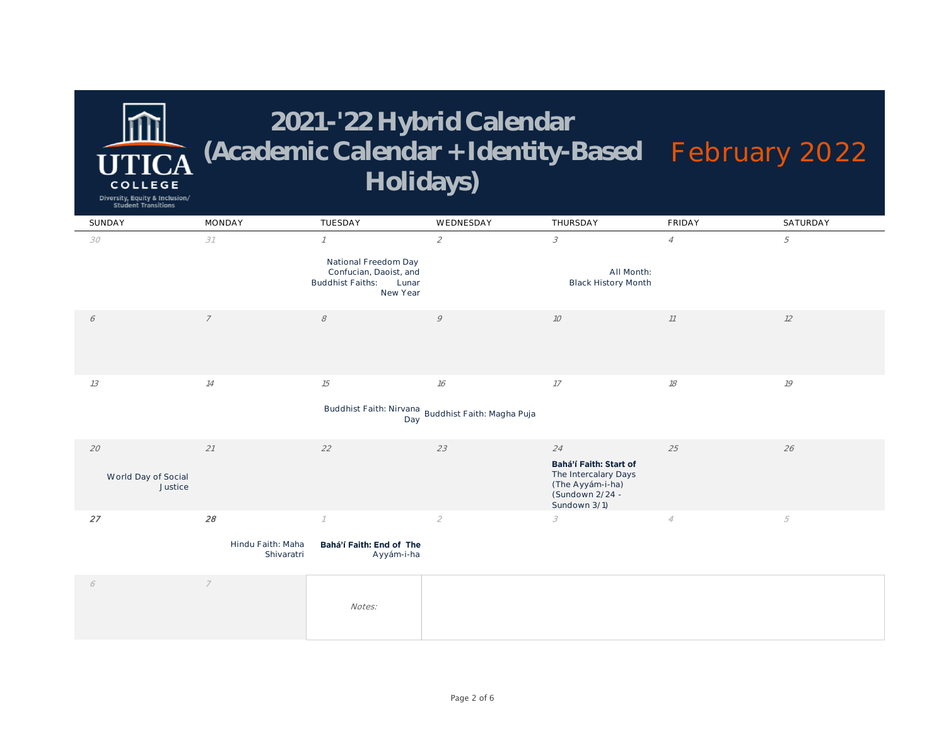**COLLEGE** Diversity, Equity & Inclusion/ **Student Transitions** 

| SUNDAY                         | MONDAY                          | TUESDAY                                                                                        | WEDNESDAY                                                  | THURSDAY                                                                                              | <b>FRIDAY</b>  | SATURDAY   |
|--------------------------------|---------------------------------|------------------------------------------------------------------------------------------------|------------------------------------------------------------|-------------------------------------------------------------------------------------------------------|----------------|------------|
| 30                             | 31                              | $\mathcal I$                                                                                   | $\mathcal{L}$                                              | 3                                                                                                     | $\overline{A}$ | 5          |
|                                |                                 | National Freedom Day<br>Confucian, Daoist, and<br><b>Buddhist Faiths:</b><br>Lunar<br>New Year |                                                            | All Month:<br><b>Black History Month</b>                                                              |                |            |
| 6                              | $\overline{7}$                  | $\mathcal S$                                                                                   | 9                                                          | 10 <sup>10</sup>                                                                                      | 11             | 12         |
| 13                             | 14                              | 15                                                                                             | 16                                                         | 17                                                                                                    | 18             | 19         |
|                                |                                 | Day                                                                                            | Buddhist Faith: Nirvana<br>nove Buddhist Faith: Magha Puja |                                                                                                       |                |            |
| 20                             | 21                              | 22                                                                                             | 23                                                         | 24                                                                                                    | 25             | 26         |
| World Day of Social<br>Justice |                                 |                                                                                                |                                                            | Bahá'í Faith: Start of<br>The Intercalary Days<br>(The Ayyám-i-ha)<br>(Sundown 2/24 -<br>Sundown 3/1) |                |            |
| 27                             | 28                              |                                                                                                | $\mathcal Z$                                               | 3                                                                                                     | $\overline{4}$ | $\sqrt{5}$ |
|                                | Hindu Faith: Maha<br>Shivaratri | Bahá'í Faith: End of The<br>Ayyám-i-ha                                                         |                                                            |                                                                                                       |                |            |

|  | Notes: |  |
|--|--------|--|
|  |        |  |
|  |        |  |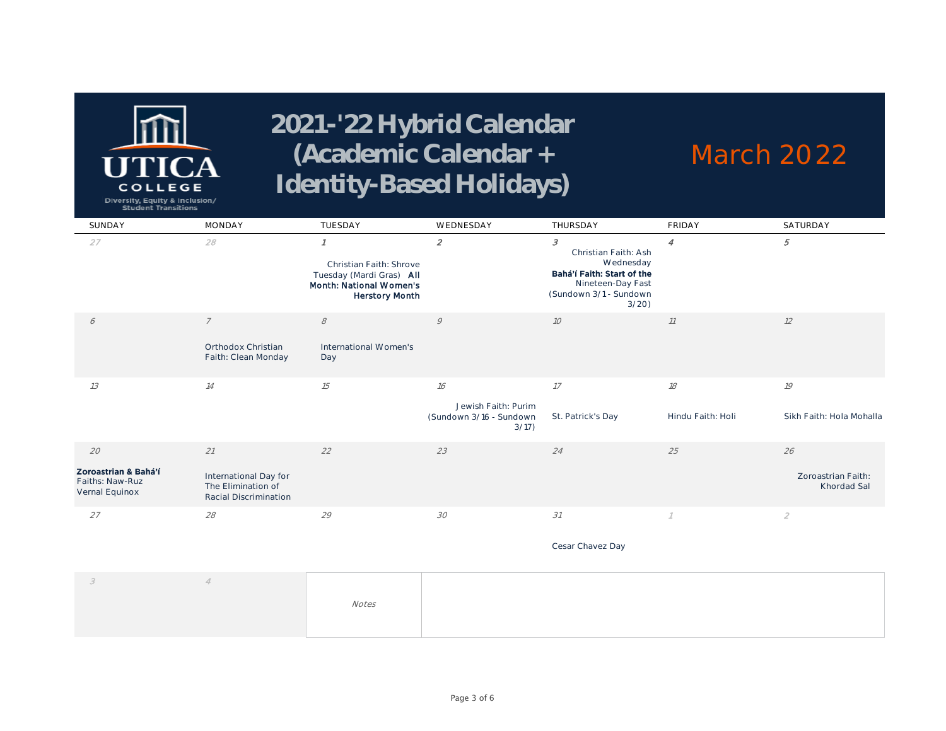

#### **March 2022**

Diversity, Equity & Inclusion/<br>Student Transitions

| SUNDAY                                                          | <b>MONDAY</b>                                                              | TUESDAY                                                                                                 | WEDNESDAY                                                     | THURSDAY                                                                                                                                    | <b>FRIDAY</b>           | SATURDAY                                        |
|-----------------------------------------------------------------|----------------------------------------------------------------------------|---------------------------------------------------------------------------------------------------------|---------------------------------------------------------------|---------------------------------------------------------------------------------------------------------------------------------------------|-------------------------|-------------------------------------------------|
| 27                                                              | 28                                                                         | Christian Faith: Shrove<br>Tuesday (Mardi Gras) All<br>Month: National Women's<br><b>Herstory Month</b> | $\mathcal{Z}_{\mathcal{L}}$                                   | $\mathcal{S}$<br>Christian Faith: Ash<br>Wednesday<br>Bahá'í Faith: Start of the<br>Nineteen-Day Fast<br>(Sundown 3/1 - Sundown<br>$3/20$ ) | 4                       | 5                                               |
| 6                                                               | $\overline{7}$<br>Orthodox Christian<br>Faith: Clean Monday                | 8<br>International Women's<br>Day                                                                       | 9                                                             | 10                                                                                                                                          | 11                      | 12                                              |
| 13                                                              | 14                                                                         | 15                                                                                                      | 16<br>Jewish Faith: Purim<br>(Sundown 3/16 - Sundown<br>3/17) | 17<br>St. Patrick's Day                                                                                                                     | 18<br>Hindu Faith: Holi | 19<br>Sikh Faith: Hola Mohalla                  |
| 20<br>Zoroastrian & Bahá'í<br>Faiths: Naw-Ruz<br>Vernal Equinox | 21<br>International Day for<br>The Elimination of<br>Racial Discrimination | 22                                                                                                      | 23                                                            | 24                                                                                                                                          | 25                      | 26<br>Zoroastrian Faith:<br>Khordad Sal         |
| 27                                                              | 28                                                                         | 29                                                                                                      | 30                                                            | 31                                                                                                                                          |                         | $\mathfrak{2}% \left( \mathfrak{2}\right) ^{2}$ |

**Cesar Chavez Day**

|  | Notes |  |  |
|--|-------|--|--|
|  |       |  |  |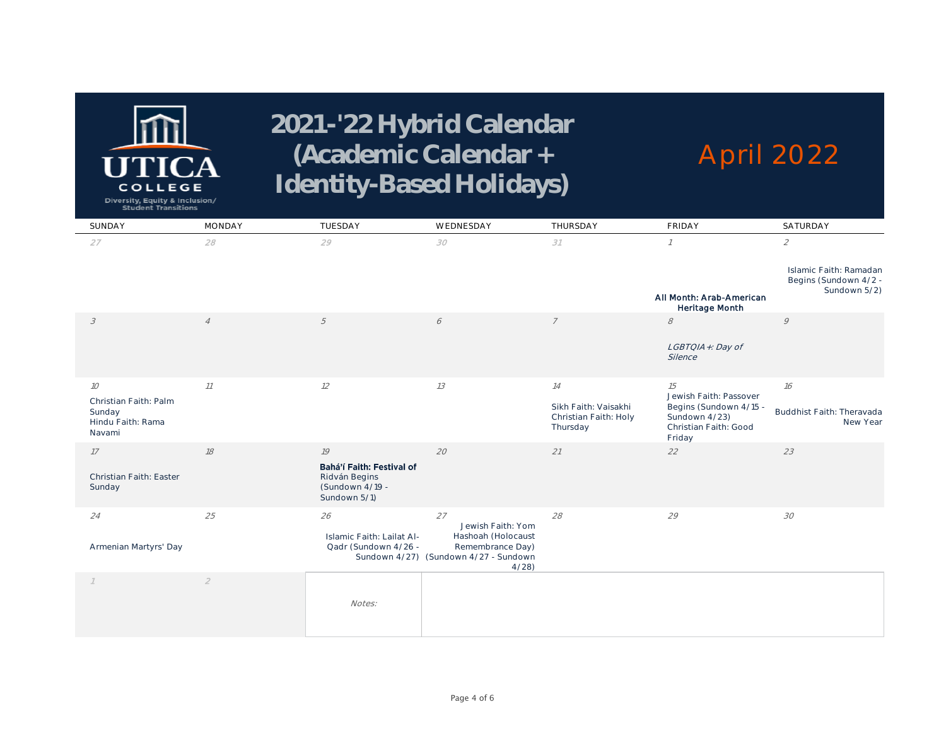

# **April 2022**

Diversity, Equity & Inclusion/<br>Student Transitions

| SUNDAY                                                         | <b>MONDAY</b>  | TUESDAY                                                                       | WEDNESDAY                                                                               | THURSDAY                                                  | <b>FRIDAY</b>                                                              | SATURDAY                                                        |
|----------------------------------------------------------------|----------------|-------------------------------------------------------------------------------|-----------------------------------------------------------------------------------------|-----------------------------------------------------------|----------------------------------------------------------------------------|-----------------------------------------------------------------|
| 27                                                             | 28             | 29                                                                            | 30                                                                                      | 31                                                        | $\mathcal I$                                                               | $\mathcal{L}_{\mathcal{L}}$                                     |
|                                                                |                |                                                                               |                                                                                         |                                                           | All Month: Arab-American<br>Heritage Month                                 | Islamic Faith: Ramadan<br>Begins (Sundown 4/2 -<br>Sundown 5/2) |
| $\mathcal{S}_{\mathcal{S}}$                                    | $\overline{4}$ | 5                                                                             | 6                                                                                       | $\overline{7}$                                            | $\mathcal S$                                                               | 9                                                               |
|                                                                |                |                                                                               |                                                                                         |                                                           | LGBTQIA+: Day of<br>Silence                                                |                                                                 |
| 10                                                             | 11             | 12                                                                            | 13                                                                                      | 14                                                        | 15<br>Jewish Faith: Passover                                               | 16                                                              |
| Christian Faith: Palm<br>Sunday<br>Hindu Faith: Rama<br>Navami |                |                                                                               |                                                                                         | Sikh Faith: Vaisakhi<br>Christian Faith: Holy<br>Thursday | Begins (Sundown 4/15 -<br>Sundown 4/23)<br>Christian Faith: Good<br>Friday | Buddhist Faith: Theravada<br>New Year                           |
| 17                                                             | 18             | 19                                                                            | 20                                                                                      | 21                                                        | 22                                                                         | 23                                                              |
| Christian Faith: Easter<br>Sunday                              |                | Bahá'í Faith: Festival of<br>Ridván Begins<br>(Sundown 4/19 -<br>Sundown 5/1) |                                                                                         |                                                           |                                                                            |                                                                 |
| 24                                                             | 25             | 26                                                                            | 27<br>Jewish Faith: Yom                                                                 | 28                                                        | 29                                                                         | 30                                                              |
| Armenian Martyrs' Day                                          |                | Islamic Faith: Lailat Al-<br>Qadr (Sundown 4/26 -                             | Hashoah (Holocaust<br>Remembrance Day)<br>Sundown 4/27) (Sundown 4/27 - Sundown<br>4/28 |                                                           |                                                                            |                                                                 |
| $\mathcal I$                                                   | $\mathfrak{2}$ |                                                                               |                                                                                         |                                                           |                                                                            |                                                                 |
|                                                                |                | Notes:                                                                        |                                                                                         |                                                           |                                                                            |                                                                 |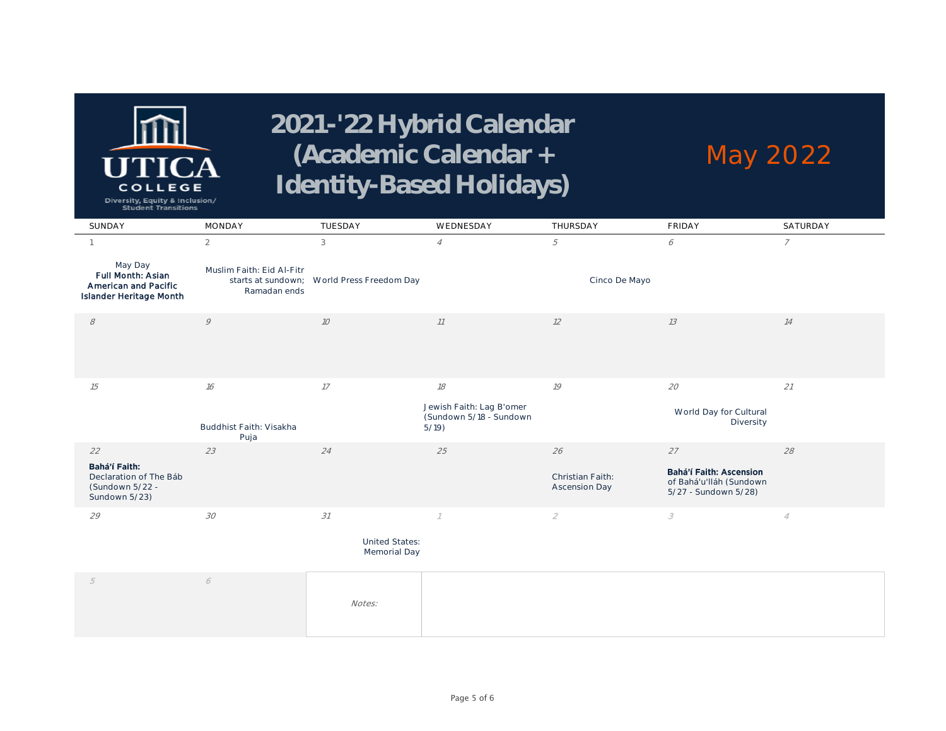

#### **May 2022**

Diversity, Equity & Inclusion/<br>Student Transitions

| SUNDAY                                                                          | <b>MONDAY</b>                             | TUESDAY                                    | WEDNESDAY                                                   | THURSDAY                          | <b>FRIDAY</b>                                                              | SATURDAY       |
|---------------------------------------------------------------------------------|-------------------------------------------|--------------------------------------------|-------------------------------------------------------------|-----------------------------------|----------------------------------------------------------------------------|----------------|
|                                                                                 | $\overline{2}$                            | 3                                          | $\overline{4}$                                              | 5                                 | 6                                                                          | $\overline{7}$ |
| May Day<br>Full Month: Asian<br>American and Pacific<br>Islander Heritage Month | Muslim Faith: Eid Al-Fitr<br>Ramadan ends | starts at sundown; World Press Freedom Day |                                                             | Cinco De Mayo                     |                                                                            |                |
| $\mathcal S$                                                                    | 9                                         | 10                                         | 11                                                          | 12                                | 13                                                                         | 14             |
|                                                                                 |                                           |                                            |                                                             |                                   |                                                                            |                |
| 15                                                                              | 16                                        | 17                                         | 18                                                          | 19                                | 20                                                                         | 21             |
|                                                                                 | Buddhist Faith: Visakha<br>Puja           |                                            | Jewish Faith: Lag B'omer<br>(Sundown 5/18 - Sundown<br>5/19 |                                   | World Day for Cultural<br>Diversity                                        |                |
| 22                                                                              | 23                                        | 24                                         | 25                                                          | 26                                | 27                                                                         | 28             |
| Bahá'í Faith:<br>Declaration of The Báb<br>(Sundown 5/22 -<br>Sundown 5/23)     |                                           |                                            |                                                             | Christian Faith:<br>Ascension Day | Bahá'í Faith: Ascension<br>of Bahá'u'lláh (Sundown<br>5/27 - Sundown 5/28) |                |
| 29                                                                              | 30                                        | 31                                         |                                                             | $\mathfrak{D}$                    | 3                                                                          | 4              |

**United States: Memorial Day**

| Notes: |  |
|--------|--|
|        |  |